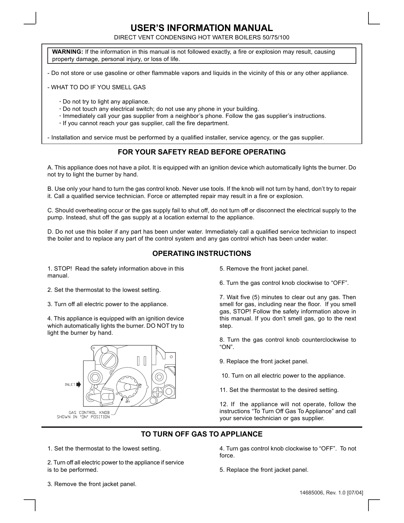# **USER'S INFORMATION MANUAL**

DIRECT VENT CONDENSING HOT WATER BOILERS 50/75/100

**WARNING:** If the information in this manual is not followed exactly, a fire or explosion may result, causing property damage, personal injury, or loss of life.

- Do not store or use gasoline or other flammable vapors and liquids in the vicinity of this or any other appliance.

- WHAT TO DO IF YOU SMELL GAS

- **·** Do not try to light any appliance.
- **·** Do not touch any electrical switch; do not use any phone in your building.
- **·** Immediately call your gas supplier from a neighbor's phone. Follow the gas supplier's instructions.
- **·** If you cannot reach your gas supplier, call the fire department.

- Installation and service must be performed by a qualified installer, service agency, or the gas supplier.

### **FOR YOUR SAFETY READ BEFORE OPERATING**

A. This appliance does not have a pilot. It is equipped with an ignition device which automatically lights the burner. Do not try to light the burner by hand.

B. Use only your hand to turn the gas control knob. Never use tools. If the knob will not turn by hand, don't try to repair it. Call a qualified service technician. Force or attempted repair may result in a fire or explosion.

C. Should overheating occur or the gas supply fail to shut off, do not turn off or disconnect the electrical supply to the pump. Instead, shut off the gas supply at a location external to the appliance.

D. Do not use this boiler if any part has been under water. Immediately call a qualified service technician to inspect the boiler and to replace any part of the control system and any gas control which has been under water.

#### **OPERATING INSTRUCTIONS**

1. STOP! Read the safety information above in this manual.

2. Set the thermostat to the lowest setting.

3. Turn off all electric power to the appliance.

4. This appliance is equipped with an ignition device which automatically lights the burner. DO NOT try to light the burner by hand.



- 5. Remove the front jacket panel.
- 6. Turn the gas control knob clockwise to "OFF".

7. Wait five (5) minutes to clear out any gas. Then smell for gas, including near the floor. If you smell gas, STOP! Follow the safety information above in this manual. If you don't smell gas, go to the next step.

8. Turn the gas control knob counterclockwise to "ON".

- 9. Replace the front jacket panel.
- 10. Turn on all electric power to the appliance.
- 11. Set the thermostat to the desired setting.

12. If the appliance will not operate, follow the instructions "To Turn Off Gas To Appliance" and call your service technician or gas supplier.

#### **TO TURN OFF GAS TO APPLIANCE**

1. Set the thermostat to the lowest setting.

2. Turn off all electric power to the appliance if service is to be performed.

4. Turn gas control knob clockwise to "OFF". To not force.

5. Replace the front jacket panel.

3. Remove the front jacket panel.